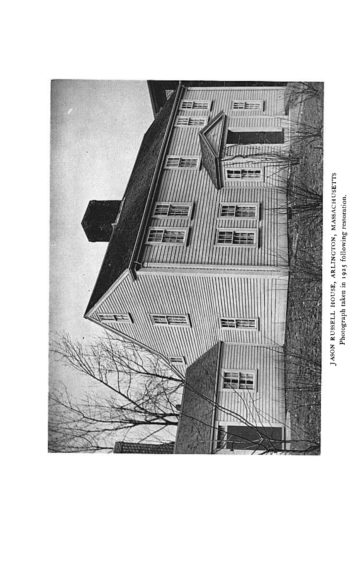

Photograph taken in 1925 following restoration.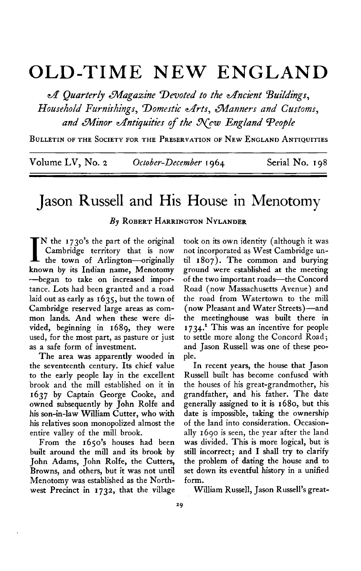# **OLD-TIME NEW ENGLAND**

 $\mathcal A$  Quarterly Magazine Devoted to the Ancient Buildings, Household Furnishings, Domestic Arts, Manners and Customs, and Minor Antiquities of the New England People

**BULLETIN OF THE SOCIETY FOR THE PRESERVATION OF NEW ENGLAND ANTIQUITIES** 

**Volume LV, No. 2 October-December I964. Serial No. I 98** 

## **Jason Russell and His House in Menotomy**

### **By ROBERT HARRINGTON NYLANDER**

IN the 1730's the part of the original<br>
Cambridge territory that is now<br>
the town of Arlington-originally **Cambridge territory that is now known by its Indian name, Menotomy -began to take on increased importance. Lots had been granted and a road laid out as early as 1635, but the town of Cambridge reserved large areas as common lands. And when these were divided, beginning in 1689, they were used, for the most part, as pasture or just as a safe form of investment.** 

**The area was apparently wooded in the seventeenth century. Its chief value to the early people lay in the excellent brook and the mill established on it in 1637 by Captain George Cooke, and owned subsequently by John Rolfe and his son-in-law William Cutter, who with his relatives soon monopolized almost the entire valley of the mill brook.** 

**From the 1650's houses had been built around the mill and its brook by John Adams, John Rolfe, the Cutters, Browns, and others, but it was not until Menotomy was established as the Northwest Precinct in 1732, that the village**  **took on its own identity (although it was not incorporated as West Cambridge until I 807). The common and burying ground were established at the meeting**  of the two important roads-the Concord **Road (now Massachusetts Avenue) and the road from Watertown to the mill (now Pleasant and Water Streets)-and the meetinghouse was built there in 1734.l This was an incentive for people to settle more along the Concord Road; and Jason Russell was one of these people.** 

**In recent years, the house that Jason Russell built has become confused with the houses of his great-grandmother, his grandfather, and his father. The date generally assigned to it is 1680, but this date is impossible, taking the ownership of the land into consideration. Occasionally 1690 is seen, the year after the land was divided. This is more logical, but is still incorrect; and I shall try to clarify the problem of dating the house and to set down its eventful history in a unified form.** 

**William Russell, Jason Russell's great-**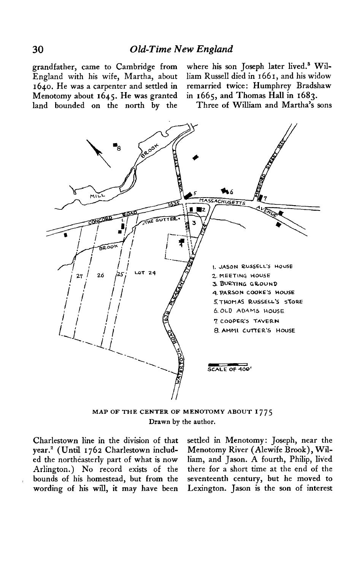**Menotomy about 1645. He was granted in 1665, and Thomas Hall in 1683. land bounded on the north by the Three of William and Martha's sons** 

grandfather, came to Cambridge from where his son Joseph later lived.<sup>8</sup> Wil-**England with his wife, Martha, about liam Russell died in 1661, and his widow 1640. He was a carpenter and settled in remarried twice: Humphrey Bradshaw** 



**MAP OF THE CENTER OF MENOTOMY ABOUT Drawn by the author.** 

**Charlestown line in the division of that year.\* (Until 1762 Charlestown included the northeasterly part of what is now Arlington.) No record exists of the bounds of his homestead, but from the**  wording of his will, it may have been

**settled in Menotomy : Joseph, near the Menotomy River (Alewife Brook), William, and Jason. A fourth, Philip, lived there for a short time at the end of the seventeenth century, but he moved to Lexington. Jason is the son of interest**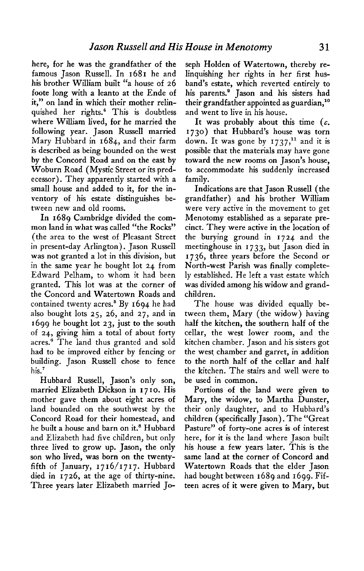**here, for he was the grandfather of the famous Jason Russell. In 1681 he and his brother William built "a house of 26 foote long with a leanto at the Ende of it," on land in which their mother relinquished her rights.4 This is doubtless where William lived, for he married the following year. Jason Russell married Mary Hubbard in 1684, and their farm is described as being bounded on'the west by the Concord Road and on the east by Woburn Road (Mystic Street or its predecessor). They apparently started with a small house and added to it, for the inventory of his estate distinguishes between new and old rooms.** 

**In 1689 Cambridge divided the common land in what was called "the Rocks" (the area to the west of Pleasant Street in present-day Arlington). Jason Russell was not granted a lot in this division, but in the same year he bought lot 24 from Edward Pelham, to whom it had been granted. This lot was at the corner of the Concord and Watertown Roads and**  contained twenty acres.<sup>5</sup> By 1694 he had **also bought lots 25, 26, and 27, and in 1699 he bought lot 23, just to the south of 24, giving him a total of about forty acres.6 The land thus granted and sold had to be improved either by fencing or building. Jason Russell chose to fence his.7** 

**Hubbard Russell, Jason's only son, married Elizabeth Dickson in I 7 I O. His mother gave them about eight acres of land bounded on the southwest by the Concord Road for their homestead, and he built a house and barn on it.\* Hubbard and Elizabeth had five children, but only three lived to grow up. Jason, the only son who lived, was born on the twentyfifth of January, 1716/1717. Hubbard died in 1726, at the age of thirty-nine. Three years later Elizabeth married Jo-** **seph Holden of Watertown, thereby relinquishing her rights in her first husband's estate, which reverted entirely to**  his parents.<sup>9</sup> Jason and his sisters had **their grandfather appointed as guardian," and went to live in his house.** 

**It was probably about this time (c. 1730) that Hubbard's house was torn**  down. It was gone by 1737,<sup>11</sup> and it is **possible that the materials may have gone toward the new rooms on Jason's house, to accommodate his suddenly increased family.** 

**Indications are that Jason Russell (the grandfather) and his brother William were very active in the movement to get Menotomy established as a separate precinct. They were active in the location of the burying ground in I 724 and the meetinghouse in 1733, but Jason died in 1736, three years before the Second or North-west Parish was finally completely established. He left a vast estate which was divided among his widow and grandchildren.** 

**The house was divided equally between them, Mary (the widow) having half the kitchen, the southern half of the cellar, the west lower room, and the kitchen chamber. Jason and his sisters got the west, chamber and garret, in addition to the north half of the cellar and half the kitchen. The stairs and well were to be used in common.** 

**Portions of the land were given to Mary, the widow, to Martha Dunster, their only daughter, and to Hubbard's children (specifically Jason). The "Great Pasture" of forty-one acres is of interest here, for it is the land where Jason built his house a few years later. This is the same land at the corner of Concord and Watertown Roads that the elder Jason had bought between 1689 and 1699. Fifteen acres of it were given to Mary, but**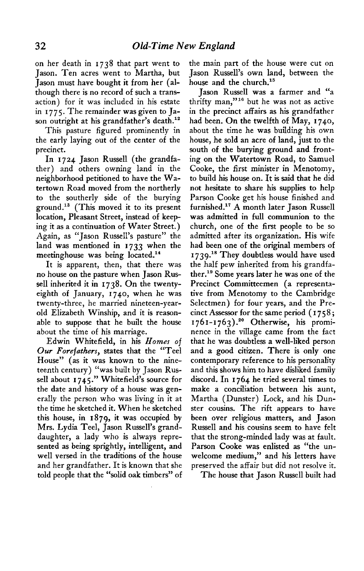**on her death in I 738 that part went to Jason. Ten acres went to Martha, but Jason must have bought it from her (although there is no record of such a transaction) for it was included in his estate in I 775. The remainder was given to Ja**son outright at his grandfather's death.<sup>12</sup>

**This pasture figured prominently in the early laying out of the center of the precinct.** 

**In I 724 Jason Russell (the grandfather) and others owning land in the neighborhood petitioned to have the Watertown Road moved from the northerly to the southerly side of the burying ground.13 (This moved it to its present location, Pleasant Street, instead of keeping it as a continuation of Water Street.) Again, as "Jason Russell's pasture" the land was mentioned in 1733 when the meetinghouse was being located.14** 

**It is apparent, then, that there was no house on the pasture when Jason Russell inherited it in 1738. On the twentyeighth of January, 1740, when he was twenty-three, he married nineteen-yearold Elizabeth Winship, and it is reasonable to suppose that he built the house about the time of his marriage.** 

**Edwin Whitefield, in his Homes of Our Forefathers, states that the "Tee1 House" (as it was known to the nineteenth century) "was built by Jason Russell about I 745." Whitefield's source for the date and history of a house was generally the person who was living in it at the time he sketched it. When he sketched this house, in 1879, it was occupied by Mrs. Lydia Teel, Jason Russell's granddaughter, a lady who is always represented as being sprightly, intelligent, and well versed in the traditions of the house and her grandfather. It is known that she told people that the "solid oak timbers" of**  **the main part of the house were cut on Jason Russell's own land, between the house and the church."** 

**Jason Russell was a farmer and "a**  thrifty man,"<sup>16</sup> but he was not as active **in the precinct affairs as his grandfather had been. On the twelfth of May, I 740, about the time he was building his own house, he sold an acre of land, just to the south of the burying ground and fronting on the Watertown Road, to Samuel Cooke, the first minister in Menotomy, to build his house on. It is said that he did not hesitate to share his supplies to help Parson Cooke get his house finished and**  furnished.<sup>17</sup> A month later Jason Russell **was admitted in full communion to the church, one of the first people to be so admitted after its organization. His wife had been one of the original members of I 739.'" They doubtless would have used the half pew inherited from his grandfather." Some years later he was one of the Precinct Committeemen (a representative from Menotomy to the Cambridge Selectmen) for four years, and the Precinct Assessor for the same period ( I 75 8 ; 1761-1763).2O Otherwise, his prominence in the village came from the fact that he was doubtless a well-liked person and a good citizen. There is only one contemporary reference to his personality and this shows him to have disliked family discord. In 1764 he tried several times to make a conciliation between his aunt, Martha (Dunster) Lock, and his Dunster cousins. The rift appears to have been over religious matters, and Jason Russell and his cousins seem to have felt that the strong-minded lady was at fault. Parson Cooke was enlisted as "the unwelcome medium," and his letters have preserved the affair but did not resolve it.** 

**The house that Jason Russell built had**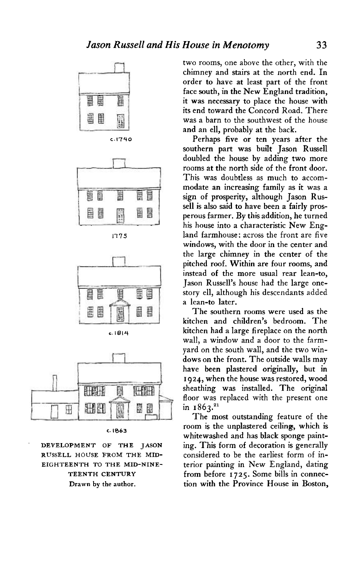



**117.5** 



$$
c.\pm 814
$$



**c. 1863** 

**DEVELOPMENT OF THE JASON RUSSELL HOUSE FROM THE MID-EIGHTEENTH TO THE MID-NINE-TEENTH CENTURY Drawn by the author.** 

**two rooms, one above the other, with the chimney and stairs at the north end. In order to have at least part of the front face south, in the New England tradition, it was necessary to place the house with its end toward the Concord Road. There was a barn to the southwest of the house and an ell, probably at the back.** 

**Perhaps five or ten years after the southern part was built Jason Russell doubled the house by adding two more rooms at the north side of the front door. This was doubtless as much to accommodate an increasing family as it was a sign of prosperity, although Jason Russell is also said to have been a fairly prosperous farmer. By this addition, he turned his house into a characteristic New England farmhouse: across the front are five windows, with the door in the center and the large chimney in the center of the pitched roof. Within are four rooms, and instead of the more usual rear lean-to, Jason Russell's house had the large onestory ell, although his descendants added a lean-to later.** 

**The southern rooms were used as the kitchen and children's bedroom. The kitchen had a large fireplace on the north wall, a window and a door to the farmyard on the south wall, and the two windows on the front. The outside walls may have been plastered originally, but in I 924, when the house was restored, wood sheathing was installed. The original floor was replaced with the present one**  in 1862.<sup>21</sup>

**The most outstanding feature of the room is the unplastered ceiling, which is whitewashed and has black sponge painting. This form of decoration is generally considered to be the earliest form of interior painting in New England, dating from before I 725. Some bills in connection with the Province House in Boston,**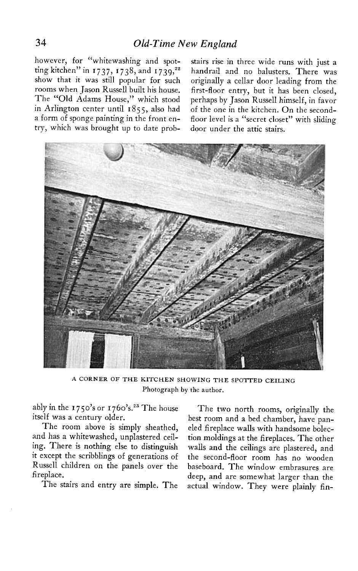**however, for "whitewashing and spot**ting kitchen" in 1737, 1738, and 1739,<sup>22</sup> **show that it was still popular for such rooms when Jason Russell built his house.**  The "Old Adams House," which stood in Arlington center until 1855, also had **a form of sponge painting in the front entry, which was brought up to date prob-** **stairs rise in three wide runs with just a handrail and no balusters. There was originally a cellar door leading from the first-floor entry, but it has been closed, perhaps by Jason Russell himself, in favor of the one in the kitchen. On the secondfloor level is a "secret closet" with sliding door under the attic stairs.** 



**A CORNER OF THE KITCHEN SHOWING THE SPOTTED CEILING Photograph by the author.** 

**ably in the I 750's or 1760's.'" The house itself was a century older.** 

**The room above is simply sheathed, and has a whitewashed, unplastered ceiling. There is nothing else to distinguish it except the scribblings of generations of Russell children on the panels over the fireplace.** 

**The stairs and entry are simple. The** 

**The two north rooms, originally the best room and a bed chamber, have paneled fireplace walls with handsome bolection moldings at the fireplaces. The other walls and the ceilings are plastered, and the second-floor room has no wooden baseboard. The window embrasures are deep, and are somewhat larger than the actual window. They were plainly fin-**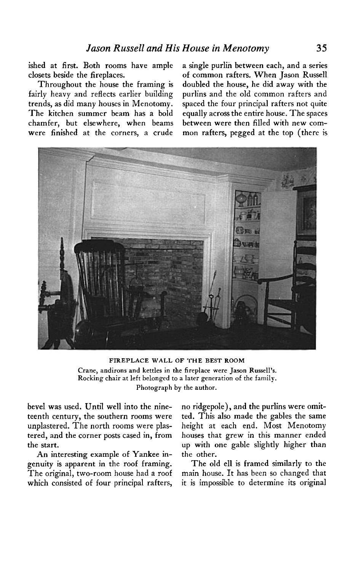**ished at first. Both rooms have ample closets beside the fireplaces.** 

**Throughout the house the framing is fairly heavy and reflects earlier building trends, as did many houses in Menotomy. The kitchen summer beam has a bold chamfer, but elsewhere, when beams were finished at the corners, a crude** 

**a single purlin between each, and a series of common rafters. When Jason Russell doubled the house, he did away with the purlins and the old common rafters and spaced the four principal rafters not quite equally across the entire house. The spaces between were then filled with new common rafters, pegged at the top (there is** 



**FIREPLACE WALL OF THE BEST ROOM Crane, andirons and kettles in the fireplace were Jason Russell's Rocking chair at left belonged to a later generation of the family. Photograph by the author.** 

**bevel was used. Until well into the nineteenth century, the southern rooms were unplastered. The north rooms were plastered, and the corner posts cased in, from the start.** 

**An interesting example of Yankee ingenuity is apparent in the roof framing. The original, two-room house had a roof which consisted of four principal rafters,**  **no ridgepole), and the purlins were omitted. This also made the gables the same height at each end. Most Menotomy houses that grew in this manner ended up with one gable slightly higher than the other.** 

**The old ell is framed similarly to the main house. It has been so changed that it is impossible to determine its original**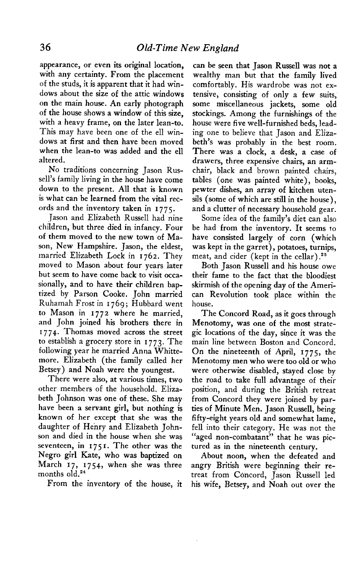**appearance, or even its original location, with any certainty. From the placement of the studs, it is apparent that it had windows about the size of the attic windows on the main house. An early photograph of the house shows a window of this size, with a heavy frame, on the later lean-to. This may have been one of the ell windows at first and then have been moved when the lean-to was added and the ell altered.** 

**No traditions concerning Jason Russell's family living in the house have come down to the present. All that is known is what can be learned from the vital records and the inventory taken in I 775.** 

**.Jason and Elizabeth Russell had nine children, but three died in infancy. Four of them moved to the new town of Mason, New Hampshire. Jason, the eldest, married Elizabeth Lock in 1762. They moved to Mason about four years later but seem to have come back to visit occasionally, and to have their children baptized by Parson Cooke. John married Ruhamah Frost in I 769 ; Hubbard went to Mason in 1772 where he married, and John joined his brothers there in I 7 74. Thomas moved across the street to establish a grocery store in I 773. The following year he married Anna Whittemore. Elizabeth (the family called her Betsey) and Noah were the youngest.** 

**There were also, at various times, two other members of the household. Elizabeth Johnson was one of these. She may have been a servant girl, but nothing is known of her except that she was the daughter of Henry and Elizabeth Johnson and died in the house when she was seventeen, in I 7 5 I. The other was the Negro girl Kate, who was baptized on March 17, 1754, when she was three**  months old.<sup>24</sup>

**From the inventory of the house, it** 

**can be seen that Jason Russell was not a wealthy man but that the family lived comfortably. His wardrobe was not extensive, consisting of only a few suits, some miscellaneous jackets, some old stockings. Among the furnishings of the house were five well-furnished beds, leading one to believe that Jason and Elizabeth's was probably in the best room. There was a clock, a desk, a case of drawers, three expensive chairs, an armchair, black and brown painted chairs, tables (one was painted white), books, pewter dishes, an array of kitchen utensils (some of which are still in the house), and a clutter of necessary household gear.** 

**Some idea of the family's diet can also be had from the inventory. It seems to have consisted largely of corn (which was kept in the garret), potatoes, turnips, meat, and cider (kept in the cellar) .25** 

**Both Jason Russell and his house owe their fame to the fact that the bloodiest skirmish of the opening day of the American Revolution took place within the house.** 

**The Concord Road, as it goes through Menotomy, was one of the most strategic locations of the day, since it was the main line between Boston and Concord. On the nineteenth of April, 1775, the Menotomy men who were too old or who were otherwise disabled, stayed close by the road to take full advantage of their position, and during the British retreat from Concord they were joined by parties of Minute Men. Jason Russell, being fifty-eight years old and somewhat lame, fell into their category. He was not the "aged non-combatant" that he was pictured as in the nineteenth century.** 

**About noon, when the defeated and angry British were beginning their retreat from Concord, Jason Russell led his wife, Betsey, and Noah out over the**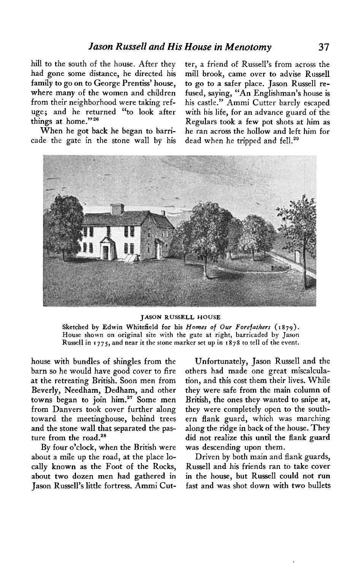**hill to the south of the house. After they had gone some distance, he directed his family to go on to George Prentiss' house, where many of the women and children from their neighborhood were taking refuge; and he returned "to look after things at home."26** 

**When he got back he began to barricade the gate in the stone wall by his**  **ter, a friend of Russell's from across the mill brook, came over to advise Russell to go to a safer place. Jason Russell refused, saying, "An Englishman's house is his castle." Ammi Cutter barely escaped with his life, for an advance guard of the Regulars took a few pot shots at him as he ran across the hollow and left him for dead when he tripped and fell.\*"** 



#### **JASON RUSSELL HOUSE**

Sketched by Edwin Whitefield for his Homes of Our Forefathers (1879). **House shown on original site with the gate at right, barricaded by Jason Russell in I 775, and near it the stone marker set up in 1878 to tell of the event.** 

**house with bundles of shingles from the barn so he would have good cover to fire at the retreating British. Soon men from Beverly, Needham, Dedham, and other**  towns began to join him.<sup>27</sup> Some men **from Danvers took cover further along toward the meetinghouse, behind trees and the stone wall that separated the pas**ture from the road.<sup>28</sup>

**By four o'clock, when the British were about a mile up the road, at the place locally known as the Foot of the Rocks, about two dozen men had gathered in Jason Russell's little fortress. Ammi Cut-**

**Unfortunately, Jason Russell and the others had made one great miscalculation, and this cost them their lives. While they were safe from the main column of British, the ones they wanted to snipe at, they were completely open to the southern flank guard, which was marching along the ridge in back of the house. They did not realize this until the flank guard was descending upon them.** 

**Driven by both main and flank guards, Russell and his friends ran to take cover in the house, but Russell could not run fast and was shot down with two bullets**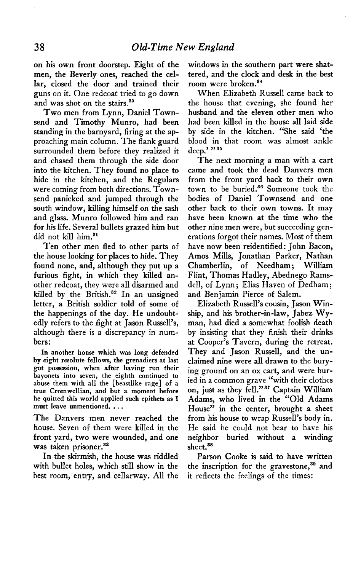**on his own front doorstep. Eight of the men, the Beverly ones, reached the cellar, closed the door and trained their guns on it. One redcoat tried to go down**  and was shot on the stairs.<sup>30</sup>

**Two men from Lynn, Daniel Townsend and Timothy Munro, had been standing in the barnyard, firing at the approaching main column. The flank guard surrounded them before they realized it and chased them through the side door into the kitchen. They found no place to hide in the kitchen, and the Regulars were coming from both directions. Townsend panicked and jumped through the south window, killing himself on the sash and glass. Munro followed him and ran for his life. Several bullets grazed him but did not kill him.'l** 

**Ten other men fled to other parts of the house looking for places to hide. They. found none, and, although they put up a furious fight, in which they killed another redcoat, they were all disarmed and killed by the British." In an unsigned letter, a British soldier told of some of the happenings of the day. He undoubtedly refers to the fight at Jason Russell's, although there is a discrepancy in numbers:** 

**In another house which was long defended by eight resolute fellows, the grenadiers at last got possession, when after having run their bayonets into seven, the eighth continued to abuse them with all the [beastlike rage] of a true Cromwellian, and but a moment before he quitted this world applied such epithets as I must leave unmentioned. . . .** 

**The Danvers men never reached the**  house. Seven of them were killed in the **front yard, two were wounded, and one was taken prisoner.88** 

with bullet holes, which still show in the the inscription for the gravestone,<sup>39</sup> and **best room, entry, and cellarway. All the it reflects the feelings of the times:** 

**windows in the southern part were shattered, and the clock and desk in the best room were broken.34** 

**When Elizabeth Russell came back to the house that evening, she found her husband and the eleven other men who had been killed in the house all laid side by side in the kitchen. "She said 'the blood in that room was almost ankle deep.' " 35** 

**The next morning a man with a cart came and took the dead Danvers men from the front yard back to their own town to be buried." Someone took the bodies of Daniel Townsend and one other back to their own towns. It may have been known at the time who the other nine men were, but succeeding generations forgot their names. Most of them have now been reidentified: John Bacon, Amos Mills, Jonathan Parker, Nathan Chamberlin, of Needham; William Flint, Thomas Hadley, Abednego Ramsdell, of Lynn; Elias Haven of Dedham ; and Benjamin Pierce of Salem.** 

**Elizabeth Russell's cousin, Jason Winship, and his brother-in-law, Jabez Wyman, had died a somewhat foolish death by insisting that they finish their drinks at Cooper's Tavern, during the retreat. They and Jason Russell, and the unclaimed nine were all drawn to the burying ground on an ox cart, and were buried in a common grave "with their clothes on, just as they fell."3' Captain William Adams, who lived in the "Old Adams House" in the center, brought a sheet from his house to wrap Russell's body in. He said he could not bear to have his neighbor buried without a winding sheet.8s** 

**In the skirmish, the house was riddled Parson Cooke is said to have written**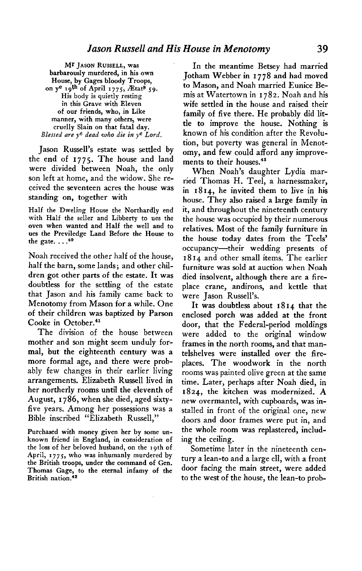**Mr JASON RUSSELL, was barbarously murdered, in his own House, by Gages bloody Troops, on ye 19th of April 1775, ZEtats 59. His body is quietly resting in this Grave with Eleven of our friends, who, in Like manner, with many others, were cruelly Slain on that fatal day. Blessed are ye dead who die in ye Lord.** 

**Jason Russell's estate was settled by the end of I 775. The house and land were divided between Noah, the only son left at home, and the widow. She received the seventeen acres the house was standing on, together with** 

**Half the Dweling House the Northardly end with Half the seller and Libbertv to ues the oven when wanted and Half the-well and to ues the Previledge Land Before the House to the gate. . . .40** 

**Noah received the other half of the house, half the barn, some lands; and other children got other parts of the estate. It was doubtless for the settling of the estate that Jason and his family came back to Menotomy from Mason for a while. One of their children was baptized by Parson Cooke in October.41** 

**The division of the house between mother and son might seem unduly formal, but the eighteenth century was a more formal age, and there were probably few changes in their earlier living arrangements. Elizabeth Russell lived in her northerly rooms until the eleventh of August, I 786, when she died, aged sixtyfive years. Among her possessions was a Bible inscribed "Elizabeth Russell,"** 

**Purchased with money given her by some unknown friend in England, in consideration of the loss of her beloved husband, on the 19th of April, 1775, who was inhumanly murdered by the British troops, under the command of Gen. Thomas Gage, to the eternal infamy of the British nation.<sup>42</sup>** 

**In the meantime Betsey had married Jotham Webber in I 778 and had moved to Mason, and Noah married Eunice Bemis at Watertown in I 782. Noah and his wife settled in the house and raised their family of five there. He probably did little to improve the house. Nothing is known of his condition after the Revolution, but poverty was general in Menotomy, and few could afford any improvements to their houses.4s** 

**When Noah's daughter Lydia married Thomas H. Teel, a harnessmaker, in 18 14, he invited them to live in his house. They also raised a large family in it, and throughout the nineteenth century the house was occupied by their numerous relatives. Most of the family furniture in the house today dates from the Teels' occupancy--their wedding presents of I 8 14 and other small items. The earlier furniture was sold at auction when Noah died insolvent, although there are a fireplace crane, andirons, and kettle that were Jason Russell's.** 

**It was doubtless about 18 14 that the enclosed porch was added at the front door, that the Federal-period moldings were added to the original window frames in the north rooms, and that mantelshelves were installed over the fireplaces. The woodwork in the north rooms was painted olive green at the same time. Later, perhaps after Noah died, in 1824, the kitchen was modernized. A new overmantel, with cupboards, was installed in front of the original one, new doors and door frames were put in, and the whole room was replastered, including the ceiling.** 

**Sometime later in the nineteenth century a lean-to and a large ell, with a front door facing the main street, were added to the west of the house, the lean-to prob-**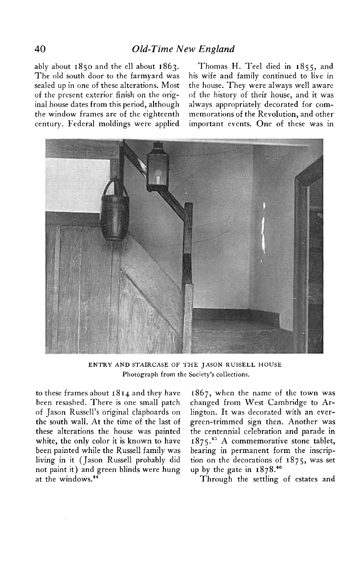**ably about 1850 and the ell about 1863. Thomas H. Tee1 died in 1855, and The old south door to the farmyard was his wife and family continued to live in sealed up in one of these alterations. Most the house. They were always well aware of the present exterior finish on the orig- of the history of their house, and it was inal house dates from this period, although always appropriately decorated for comthe window frames are of the eighteenth memorations of the Revolution, and other century. Federal moldings were applied important events. One of these was in** 



**ENTRY AND STAIRCASE OF THE JASON RUSSELL HOUSE Photograph from the Society's collections.** 

**to these frames about I 8 11 and they have been resashed. There is one small patch of Jason Russell's original clapboards on the south wall. At the time of the last of these alterations the house was painted white, the only color it is known to have been painted while the Russell family was living in it (Jason Russell probably did not paint it) and green blinds were hung**  at the windows.<sup>44</sup>

**1867, when the name of the town was changed from West Cambridge to Arlington. It was decorated with an evergreen-trimmed sign then. Another was the centennial celebration and parade in 1875.~' A commemorative stone tablet, bearing in permanent form the inscription on the decorations of 1875, was set**  up by the gate in  $1878.^{46}$ 

**Through the settling of estates and**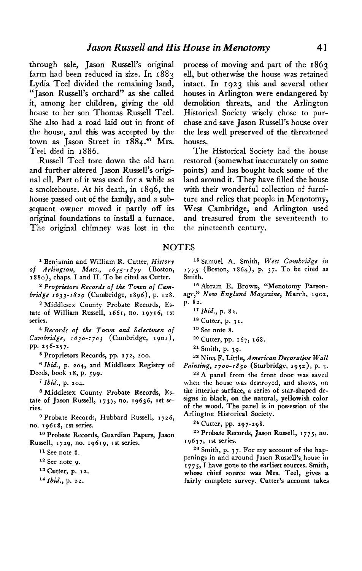**through sale, Jason Russell's original farm had been reduced in size. In 1883 Lydia Tee1 divided the remaining land, "Jason Russell's orchard" as she called it, among her children, giving the old house to her son Thomas Russell Teel. She also had a road laid out in front of the house, and this was accepted by the town as Jason Street in 1884." Mrs. Tee1 died in 1886.** 

**Russell Tee1 tore down the old barn and further altered Jason Russell's original ell. Part of it was used for a while as a smokehouse. At his death, in 1896, the house passed out of the family, and a subsequent owner moved it partly off its original foundations to install a furnace. The original chimney was lost in the** 

**1 Benjamin and William R. Cutter, History of Arlington, Mass., 1635-1879 (Boston, ISSO), chaps. I and II. To be cited as Cutter.** 

**2 Proprietors Records of the Town of Cambridge 1633-1829 (Cambridge, 1896), p. 128.** 

**s Middlesex County Probate Records, Estate of William Russell, 1661, no. 19716, 1st series.** 

**4 Records of the Town and Selectmen of Cambridge, 1630-1703 (Cambridge, 1901), PP. 256-257.** 

**5 Proprietors Records, pp. 172, zoo.** 

**8 Ibid., p. 204, and Middlesex Registry of Deeds, book 18, p. 599.** 

**i Ibid., p. 204.** 

**\* Middlesex County Probate Records, Es**tate of Jason Russell, 1737, no. 19636, 1st se**ries.** 

**9 Probate Records, Hubbard Russell, I 726, no. 19618, 1st series.** 

**lo Probate Records, Guardian Papers, Jason Russell, 1729, no. 19619, 1st series.** 

**I1 See note 8.** 

**I2 See note 9.** 

**I3 Cutter, p. 12.** 

**I4 Ibid., p. 22.** 

**process of moving and part of the 1863 ell, but otherwise the house was retained intact. In 1923 this and several other houses in Arlington were endangered by demolition threats, and the Arlington Historical Society wisely chose to purchase and save Jason Russell's house over the less well preserved of the threatened houses.** 

**The Historical Society had the house restored (somewhat inaccurately on some points) and has bought back some of the land around it. They have filled the house with their wonderful collection of furniture and relics that people in Menotomy, West Cambridge, and Arlington used and treasured from the seventeenth to the nineteenth century.** 

#### **NOTES**

**I5 Samuel A. Smith, West Cambridge in 1775 (Boston, 1864), p. 37. To be cited as Smith.** 

<sup>16</sup> Abram **E. Brown, "Menotomy Parsonage, " New England Magazine, March, 1902, p. 82.** 

**I9 See note 8.** 

**21 Smith, p. 39.** 

**22 Nina F. Little, American Decorative Wall Painting, 1700-1850 (Sturbridge, 1952), p. 3.** 

**23A panel from the front door was saved when the house was destroyed, and shows, on the interior surface, a series of star-shaped desiens in black. on the natural. vellowish color**  of the wood. The panel is in possession of the **Arlington Historical Society.** 

**24 Cutter, pp. 297-298.** 

**25 Probate Records, Jason Russell, 1775, no. 19637, 1st series.** 

**26 Smith, p. 37. For my account of the hap**penings in and around Jason Russell's house in **;775,-1 have gone to the earliest sources. Smith, whose chief source was Mrs. Teel, gives a fairly complete survey. Cutter's account takes** 

**l7 Ibid., p. 82.** 

**I8 Cutter, p. 3 I.** 

<sup>&</sup>lt;sup>20</sup> Cutter, pp. 167, 168.